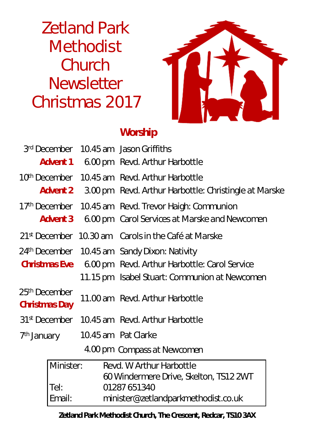Zetland Park **Methodist Church Newsletter** Christmas 2017



# **Worship**

|                                                  |        | 3 <sup>rd</sup> December 10.45 am Jason Griffiths                     |  |
|--------------------------------------------------|--------|-----------------------------------------------------------------------|--|
|                                                  |        | <b>Advent 1</b> 6.00 pm Revd. Arthur Harbottle                        |  |
|                                                  |        | 10 <sup>th</sup> December 10.45 am Revd. Arthur Harbottle             |  |
|                                                  |        | <b>Advent 2</b> 3.00 pm Revd. Arthur Harbottle: Christingle at Marske |  |
|                                                  |        | 17th December 10.45 am Revd. Trevor Haigh: Communion                  |  |
|                                                  |        | <b>Advent 3</b> 6.00 pm Carol Services at Marske and Newcomen         |  |
|                                                  |        | 21 <sup>st</sup> December 10.30 am Carols in the Café at Marske       |  |
|                                                  |        | 24th December 10.45 am Sandy Dixon: Nativity                          |  |
|                                                  |        | <b>Christmas Eve</b> 600 pm Revd. Arthur Harbottle: Carol Service     |  |
|                                                  |        | 11.15 pm Isabel Stuart: Communion at Newcomen                         |  |
| 25 <sup>th</sup> December<br><b>ChristmasDay</b> |        | 11.00 am Revd. Arthur Harbottle                                       |  |
|                                                  |        | 31 <sup>st</sup> December 10.45 am Revd. Arthur Harbottle             |  |
| 7 <sup>th</sup> January 10.45 am Pat Clarke      |        |                                                                       |  |
|                                                  |        | 4.00 pm Compass at Newcomen                                           |  |
| Minister:                                        |        | Revd. W Arthur Harbottle<br>60 Windermere Drive, Skelton, TS12 2WT    |  |
|                                                  | Tel:   | 01287651340                                                           |  |
|                                                  | Email: | minister@zetlandparkmethodist.co.uk                                   |  |

#### **Zetland Park Methodist Church, The Crescent, Redcar, TS10 3AX**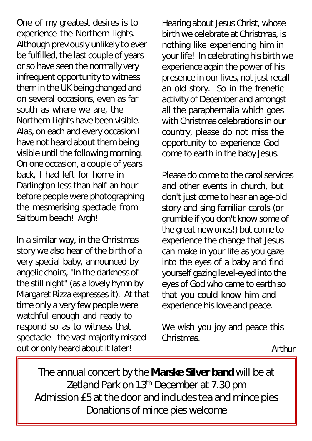One of my greatest desires is to experience the Northern lights. Although previously unlikely to ever be fulfilled, the last couple of years or so have seen the normally very infrequent opportunity to witness them in the UK being changed and on several occasions, even as far south as where we are, the Northern Lights have been visible. Alas, on each and every occasion I have not heard about them being visible until the following morning. On one occasion, a couple of years back, I had left for home in Darlington less than half an hour before people were photographing the mesmerising spectacle from Saltburn beach! Argh!

In a similar way, in the Christmas story we also hear of the birth of a very special baby, announced by angelic choirs, "In the darkness of the still night" (as a lovely hymn by Margaret Rizza expresses it). At that time only a very few people were watchful enough and ready to respond so as to witness that spectacle - the vast majority missed out or only heard about it later!

Hearing about Jesus Christ, whose birth we celebrate at Christmas, is nothing like experiencing him in your life! In celebrating his birth we experience again the power of his presence in our lives, not just recall an old story. So in the frenetic activity of December and amongst all the paraphernalia which goes with Christmas celebrations in our country, please do not miss the opportunity to experience God come to earth in the baby Jesus.

Please do come to the carol services and other events in church, but don't just come to hear an age-old story and sing familiar carols (or grumble if you don't know some of the great new ones!) but come to experience the change that Jesus can make in your life as you gaze into the eyes of a baby and find yourself gazing level-eyed into the eyes of God who came to earth so that you could know him and experience his love and peace.

We wish you joy and peace this **Christmas** 

Arthur

The annual concert by the **Marske Silver band** will be at Zetland Park on 13<sup>th</sup> December at 7.30 pm Admission £5 at the door and indudes tea and mince pies *Donations of mince pies welcome*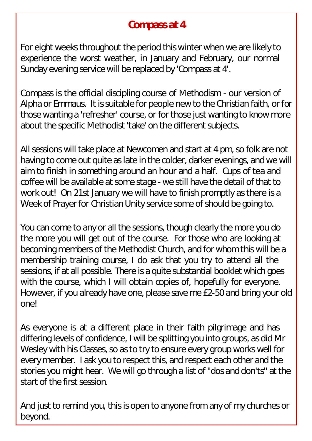# **Compass at 4**

For eight weeks throughout the period this winter when we are likely to experience the worst weather, in January and February, our normal Sunday evening service will be replaced by 'Compass at 4'.

Compass is the official discipling course of Methodism - our version of Alpha or Emmaus. It is suitable for people new to the Christian faith, or for those wanting a 'refresher' course, or for those just wanting to know more about the specific Methodist 'take' on the different subjects.

All sessions will take place at Newcomen and start at 4 pm, so folk are not having to come out quite as late in the colder, darker evenings, and we will aim to finish in something around an hour and a half. Cups of tea and coffee will be available at some stage - we still have the detail of that to work out! On 21st January we will have to finish promptly as there is a Week of Prayer for Christian Unity service some of should be going to.

You can come to any or all the sessions, though clearly the more you do the more you will get out of the course. For those who are looking at becoming members of the Methodist Church, and for whom this will be a membership training course, I do ask that you try to attend all the sessions, if at all possible. There is a quite substantial booklet which goes with the course, which I will obtain copies of, hopefully for everyone. However, if you already have one, please save me £2-50 and bring your old one!

As everyone is at a different place in their faith pilgrimage and has differing levels of confidence, I will be splitting you into groups, as did Mr Wesley with his Classes, so as to try to ensure every group works well for every member. I ask you to respect this, and respect each other and the stories you might hear. We will go through a list of "dos and don'ts" at the start of the first session.

And just to remind you, this is open to anyone from any of my churches or beyond.